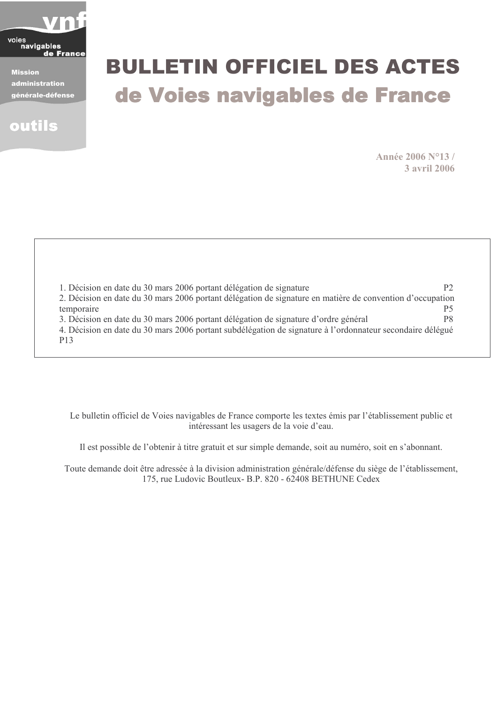

**Mission** administration générale-défense



# **BULLETIN OFFICIEL DES ACTES** de Voies navigables de France

Année 2006 N°13/ **3 avril 2006** 

| 1. Décision en date du 30 mars 2006 portant délégation de signature                                       | P <sub>2</sub> |
|-----------------------------------------------------------------------------------------------------------|----------------|
| 2. Décision en date du 30 mars 2006 portant délégation de signature en matière de convention d'occupation |                |
| temporaire                                                                                                | Р5             |
| 3. Décision en date du 30 mars 2006 portant délégation de signature d'ordre général                       | P8             |
| 4. Décision en date du 30 mars 2006 portant subdélégation de signature à l'ordonnateur secondaire délégué |                |
| P <sub>13</sub>                                                                                           |                |

Le bulletin officiel de Voies navigables de France comporte les textes émis par l'établissement public et intéressant les usagers de la voie d'eau.

Il est possible de l'obtenir à titre gratuit et sur simple demande, soit au numéro, soit en s'abonnant.

Toute demande doit être adressée à la division administration générale/défense du siège de l'établissement, 175, rue Ludovic Boutleux- B.P. 820 - 62408 BETHUNE Cedex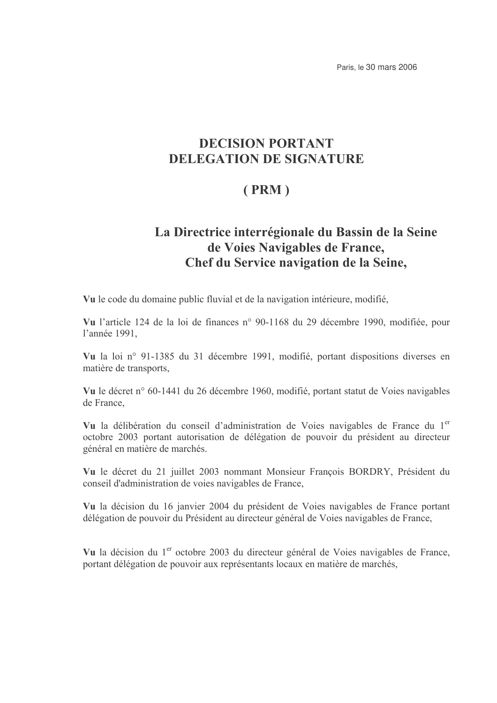Paris, le 30 mars 2006

# **DECISION PORTANT DELEGATION DE SIGNATURE**

# $(PRM)$

# La Directrice interrégionale du Bassin de la Seine de Voies Navigables de France, Chef du Service navigation de la Seine,

Vu le code du domaine public fluvial et de la navigation intérieure, modifié,

Vu l'article 124 de la loi de finances n° 90-1168 du 29 décembre 1990, modifiée, pour l'année 1991,

Vu la loi nº 91-1385 du 31 décembre 1991, modifié, portant dispositions diverses en matière de transports,

Vu le décret n° 60-1441 du 26 décembre 1960, modifié, portant statut de Voies navigables de France.

Vu la délibération du conseil d'administration de Voies navigables de France du 1<sup>er</sup> octobre 2003 portant autorisation de délégation de pouvoir du président au directeur général en matière de marchés.

Vu le décret du 21 juillet 2003 nommant Monsieur François BORDRY, Président du conseil d'administration de voies navigables de France,

Vu la décision du 16 janvier 2004 du président de Voies navigables de France portant délégation de pouvoir du Président au directeur général de Voies navigables de France,

Vu la décision du 1<sup>er</sup> octobre 2003 du directeur général de Voies navigables de France. portant délégation de pouvoir aux représentants locaux en matière de marchés,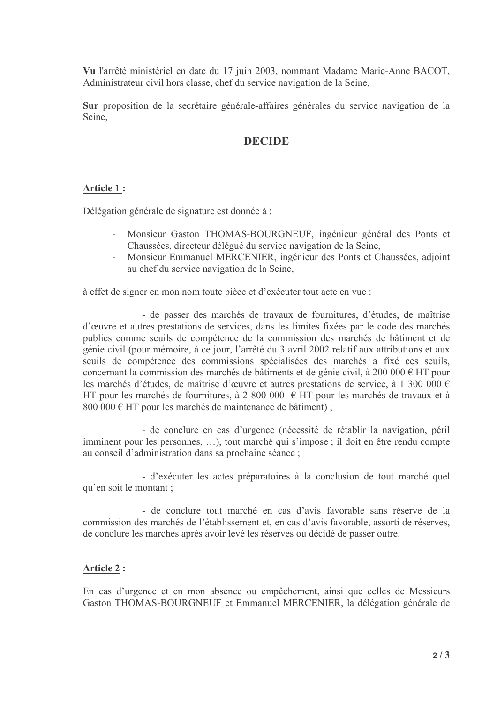Vu l'arrêté ministériel en date du 17 juin 2003, nommant Madame Marie-Anne BACOT, Administrateur civil hors classe, chef du service navigation de la Seine,

Sur proposition de la secrétaire générale-affaires générales du service navigation de la Seine

### **DECIDE**

#### Article 1:

Délégation générale de signature est donnée à :

- Monsieur Gaston THOMAS-BOURGNEUF, ingénieur général des Ponts et Chaussées, directeur délégué du service navigation de la Seine,
- Monsieur Emmanuel MERCENIER, ingénieur des Ponts et Chaussées, adjoint au chef du service navigation de la Seine,

à effet de signer en mon nom toute pièce et d'exécuter tout acte en vue :

- de passer des marchés de travaux de fournitures, d'études, de maîtrise d'œuvre et autres prestations de services, dans les limites fixées par le code des marchés publics comme seuils de compétence de la commission des marchés de bâtiment et de génie civil (pour mémoire, à ce jour, l'arrêté du 3 avril 2002 relatif aux attributions et aux seuils de compétence des commissions spécialisées des marchés a fixé ces seuils, concernant la commission des marchés de bâtiments et de génie civil, à 200 000 € HT pour les marchés d'études, de maîtrise d'œuvre et autres prestations de service, à 1 300 000 € HT pour les marchés de fournitures, à 2 800 000  $\epsilon$  HT pour les marchés de travaux et à 800 000 € HT pour les marchés de maintenance de bâtiment);

- de conclure en cas d'urgence (nécessité de rétablir la navigation, péril imminent pour les personnes, ...), tout marché qui s'impose ; il doit en être rendu compte au conseil d'administration dans sa prochaine séance ;

- d'exécuter les actes préparatoires à la conclusion de tout marché quel qu'en soit le montant ;

- de conclure tout marché en cas d'avis favorable sans réserve de la commission des marchés de l'établissement et, en cas d'avis favorable, assorti de réserves, de conclure les marchés après avoir levé les réserves ou décidé de passer outre.

#### **Article 2:**

En cas d'urgence et en mon absence ou empêchement, ainsi que celles de Messieurs Gaston THOMAS-BOURGNEUF et Emmanuel MERCENIER, la délégation générale de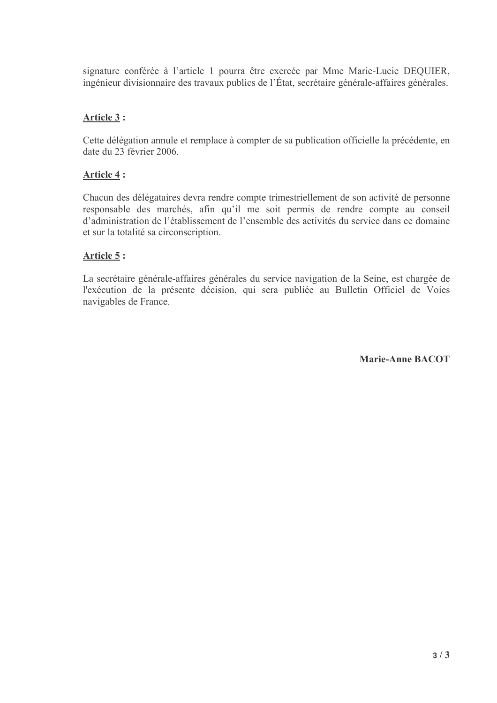signature conférée à l'article 1 pourra être exercée par Mme Marie-Lucie DEQUIER, ingénieur divisionnaire des travaux publics de l'État, secrétaire générale-affaires générales.

### Article 3 :

Cette délégation annule et remplace à compter de sa publication officielle la précédente, en date du 23 février 2006.

### Article 4:

Chacun des délégataires devra rendre compte trimestriellement de son activité de personne responsable des marchés, afin qu'il me soit permis de rendre compte au conseil d'administration de l'établissement de l'ensemble des activités du service dans ce domaine et sur la totalité sa circonscription.

### Article 5:

La secrétaire générale-affaires générales du service navigation de la Seine, est chargée de l'exécution de la présente décision, qui sera publiée au Bulletin Officiel de Voies navigables de France.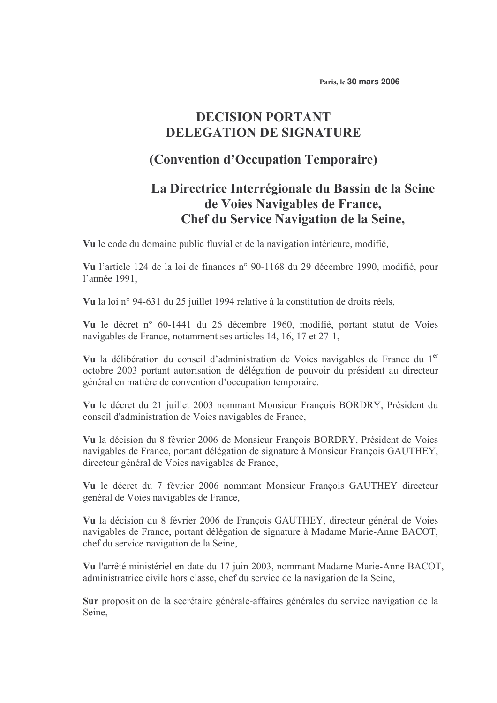Paris, le 30 mars 2006

# **DECISION PORTANT DELEGATION DE SIGNATURE**

# (Convention d'Occupation Temporaire)

# La Directrice Interrégionale du Bassin de la Seine de Voies Navigables de France, Chef du Service Navigation de la Seine,

Vu le code du domaine public fluvial et de la navigation intérieure, modifié,

Vu l'article 124 de la loi de finances n° 90-1168 du 29 décembre 1990, modifié, pour l'année 1991,

Vu la loi nº 94-631 du 25 juillet 1994 relative à la constitution de droits réels,

Vu le décret n° 60-1441 du 26 décembre 1960, modifié, portant statut de Voies navigables de France, notamment ses articles 14, 16, 17 et 27-1,

Vu la délibération du conseil d'administration de Voies navigables de France du 1<sup>er</sup> octobre 2003 portant autorisation de délégation de pouvoir du président au directeur général en matière de convention d'occupation temporaire.

Vu le décret du 21 juillet 2003 nommant Monsieur François BORDRY, Président du conseil d'administration de Voies navigables de France,

Vu la décision du 8 février 2006 de Monsieur François BORDRY, Président de Voies navigables de France, portant délégation de signature à Monsieur François GAUTHEY, directeur général de Voies navigables de France,

Vu le décret du 7 février 2006 nommant Monsieur François GAUTHEY directeur général de Voies navigables de France,

Vu la décision du 8 février 2006 de François GAUTHEY, directeur général de Voies navigables de France, portant délégation de signature à Madame Marie-Anne BACOT, chef du service navigation de la Seine,

Vu l'arrêté ministériel en date du 17 juin 2003, nommant Madame Marie-Anne BACOT, administratrice civile hors classe, chef du service de la navigation de la Seine,

Sur proposition de la secrétaire générale-affaires générales du service navigation de la Seine,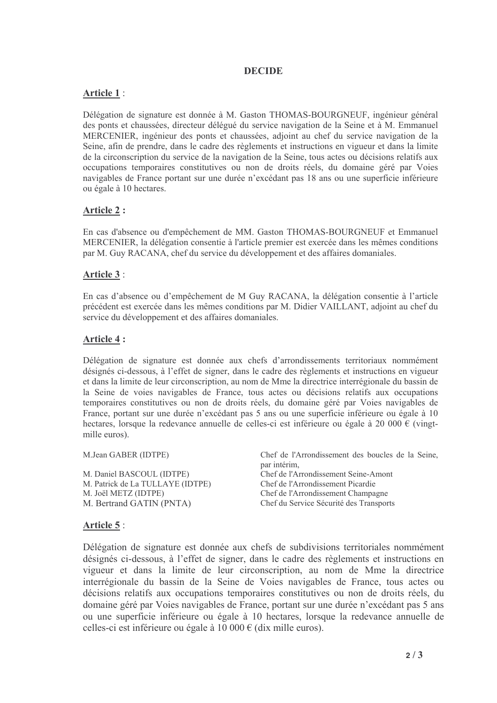### **DECIDE**

### **Article 1:**

Délégation de signature est donnée à M. Gaston THOMAS-BOURGNEUF, ingénieur général des ponts et chaussées, directeur délégué du service navigation de la Seine et à M. Emmanuel MERCENIER, ingénieur des ponts et chaussées, adjoint au chef du service navigation de la Seine, afin de prendre, dans le cadre des règlements et instructions en vigueur et dans la limite de la circonscription du service de la navigation de la Seine, tous actes ou décisions relatifs aux occupations temporaires constitutives ou non de droits réels, du domaine géré par Voies navigables de France portant sur une durée n'excédant pas 18 ans ou une superficie inférieure ou égale à 10 hectares.

### **Article 2:**

En cas d'absence ou d'empêchement de MM. Gaston THOMAS-BOURGNEUF et Emmanuel MERCENIER, la délégation consentie à l'article premier est exercée dans les mêmes conditions par M. Guy RACANA, chef du service du développement et des affaires domaniales.

#### Article 3:

En cas d'absence ou d'empêchement de M Guy RACANA, la délégation consentie à l'article précédent est exercée dans les mêmes conditions par M. Didier VAILLANT, adjoint au chef du service du développement et des affaires domaniales.

#### Article 4:

Délégation de signature est donnée aux chefs d'arrondissements territoriaux nommément désignés ci-dessous, à l'effet de signer, dans le cadre des règlements et instructions en vigueur et dans la limite de leur circonscription, au nom de Mme la directrice interrégionale du bassin de la Seine de voies navigables de France, tous actes ou décisions relatifs aux occupations temporaires constitutives ou non de droits réels, du domaine géré par Voies navigables de France, portant sur une durée n'excédant pas 5 ans ou une superficie inférieure ou égale à 10 hectares, lorsque la redevance annuelle de celles-ci est inférieure ou égale à 20 000 € (vingtmille euros).

| M.Jean GABER (IDTPE)             | Chef de l'Arrondissement des boucles de la Seine,<br>par intérim, |  |
|----------------------------------|-------------------------------------------------------------------|--|
| M. Daniel BASCOUL (IDTPE)        | Chef de l'Arrondissement Seine-Amont                              |  |
| M. Patrick de La TULLAYE (IDTPE) | Chef de l'Arrondissement Picardie                                 |  |
| M. Joël METZ (IDTPE)             | Chef de l'Arrondissement Champagne                                |  |
| M. Bertrand GATIN (PNTA)         | Chef du Service Sécurité des Transports                           |  |

#### Article 5:

Délégation de signature est donnée aux chefs de subdivisions territoriales nommément désignés ci-dessous, à l'effet de signer, dans le cadre des règlements et instructions en vigueur et dans la limite de leur circonscription, au nom de Mme la directrice interrégionale du bassin de la Seine de Voies navigables de France, tous actes ou décisions relatifs aux occupations temporaires constitutives ou non de droits réels, du domaine géré par Voies navigables de France, portant sur une durée n'excédant pas 5 ans ou une superficie inférieure ou égale à 10 hectares, lorsque la redevance annuelle de celles-ci est inférieure ou égale à 10 000 € (dix mille euros).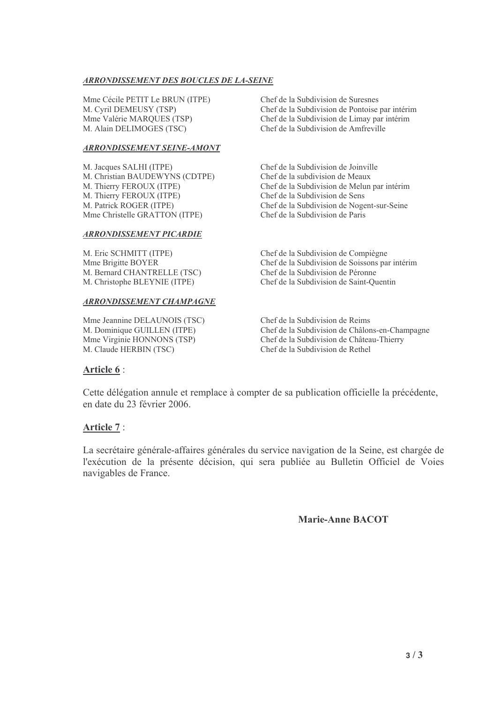#### ARRONDISSEMENT DES BOUCLES DE LA-SEINE

Mme Cécile PETIT Le BRUN (ITPE) Chef de la M. Cyril DEMEUSY (TSP) Chef de la Mme Valérie MARQUES (TSP) Chef de la M. Alain DELIMOGES (TSC) Chef de la

#### **ARRONDISSEMENT SEINE-AMONT**

M. Jacques SALHI (ITPE) M. Christian BAUDEWYNS (CDTPE) Chef de la M. Thierry FEROUX (ITPE) Chef de la M. Thierry FEROUX (ITPE) Chef de la M. Patrick ROGER (ITPE) Chef de la Mme Christelle GRATTON (ITPE) Chef de la

#### ARRONDISSEMENT PICARDIE

M. Eric SCHMITT (ITPE) Chef de la )+ +,/7- 89-M. Bernard CHANTRELLE (TSC) M. Christophe BLEYNIE (ITPE) Chef de la

#### **ARRONDISSEMENT CHAMPAGNE**

Mme Jeannine DELAUNOIS (TSC) Chef de la M. Dominique GUILLEN (ITPE) Chef de la Mme Virginie HONNONS (TSP) Chef de la M. Claude HERBIN (TSC) Chef de la

a Subdivision de Suresnes a Subdivision de Pontoise par intérim a Subdivision de Limay par intérim a Subdivision de Amfreville

a Subdivision de Joinville a subdivision de Meaux a Subdivision de Melun par intérim a Subdivision de Sens a Subdivision de Nogent-sur-Seine a Subdivision de Paris

a Subdivision de Compiègne a Subdivision de Soissons par intérim a Subdivision de Péronne a Subdivision de Saint-Quentin

a Subdivision de Reims a Subdivision de Châlons-en-Champagne a Subdivision de Château-Thierry a Subdivision de Rethel

#### Article 6 :

Cette délégation annule et remplace à compter de sa publication officielle la précédente, en date du 23 février 2006.

#### Article 7:

La secrétaire générale-affaires générales du service navigation de la Seine, est chargée de l'exécution de la présente décision, qui sera publiée au Bulletin Officiel de Voies navigables de France.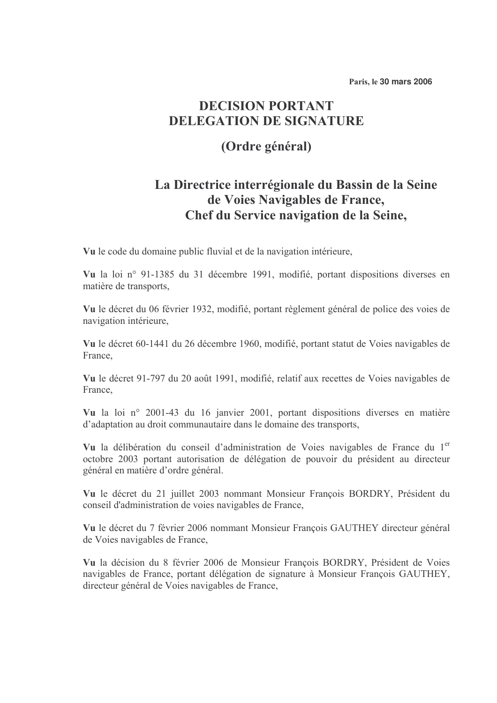Paris, le 30 mars 2006

# **DECISION PORTANT DELEGATION DE SIGNATURE**

# (Ordre général)

# La Directrice interrégionale du Bassin de la Seine de Voies Navigables de France. Chef du Service navigation de la Seine,

Vu le code du domaine public fluvial et de la navigation intérieure.

Vu la loi nº 91-1385 du 31 décembre 1991, modifié, portant dispositions diverses en matière de transports.

Vu le décret du 06 février 1932, modifié, portant règlement général de police des voies de navigation intérieure,

Vu le décret 60-1441 du 26 décembre 1960, modifié, portant statut de Voies navigables de France,

Vu le décret 91-797 du 20 août 1991, modifié, relatif aux recettes de Voies navigables de France.

Vu la loi nº 2001-43 du 16 janvier 2001, portant dispositions diverses en matière d'adaptation au droit communautaire dans le domaine des transports,

Vu la délibération du conseil d'administration de Voies navigables de France du 1<sup>er</sup> octobre 2003 portant autorisation de délégation de pouvoir du président au directeur général en matière d'ordre général.

Vu le décret du 21 juillet 2003 nommant Monsieur François BORDRY, Président du conseil d'administration de voies navigables de France,

Vu le décret du 7 février 2006 nommant Monsieur François GAUTHEY directeur général de Voies navigables de France,

Vu la décision du 8 février 2006 de Monsieur François BORDRY, Président de Voies navigables de France, portant délégation de signature à Monsieur François GAUTHEY, directeur général de Voies navigables de France.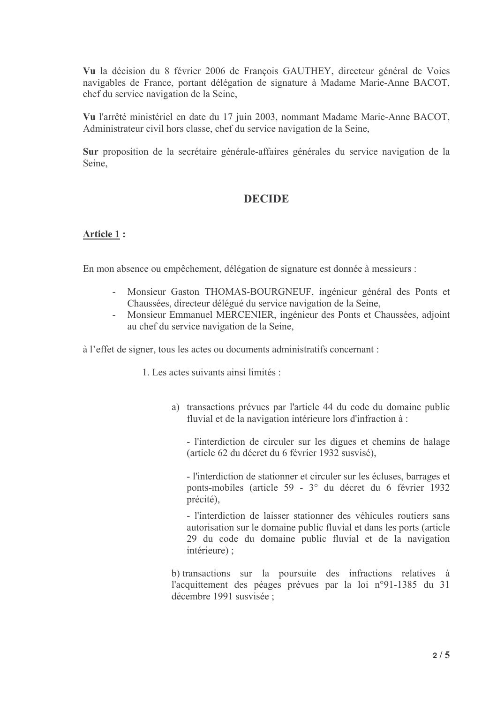Vu la décision du 8 février 2006 de François GAUTHEY, directeur général de Voies navigables de France, portant délégation de signature à Madame Marie-Anne BACOT, chef du service navigation de la Seine,

Vu l'arrêté ministériel en date du 17 juin 2003, nommant Madame Marie-Anne BACOT, Administrateur civil hors classe, chef du service navigation de la Seine,

Sur proposition de la secrétaire générale-affaires générales du service navigation de la Seine.

# **DECIDE**

### **Article 1:**

En mon absence ou empêchement, délégation de signature est donnée à messieurs :

- Monsieur Gaston THOMAS-BOURGNEUF, ingénieur général des Ponts et Chaussées, directeur délégué du service navigation de la Seine,
- Monsieur Emmanuel MERCENIER, ingénieur des Ponts et Chaussées, adjoint  $\omega_{\rm{eff}}$ au chef du service navigation de la Seine,

à l'effet de signer, tous les actes ou documents administratifs concernant :

1 Les actes suivants ainsi limités ·

a) transactions prévues par l'article 44 du code du domaine public fluvial et de la navigation intérieure lors d'infraction à :

- l'interdiction de circuler sur les digues et chemins de halage (article 62 du décret du 6 février 1932 susvisé),

- l'interdiction de stationner et circuler sur les écluses, barrages et ponts-mobiles (article 59 - 3° du décret du 6 février 1932 précité).

- l'interdiction de laisser stationner des véhicules routiers sans autorisation sur le domaine public fluvial et dans les ports (article 29 du code du domaine public fluvial et de la navigation intérieure) :

b) transactions sur la poursuite des infractions relatives à l'acquittement des péages prévues par la loi n°91-1385 du 31 décembre 1991 susvisée ;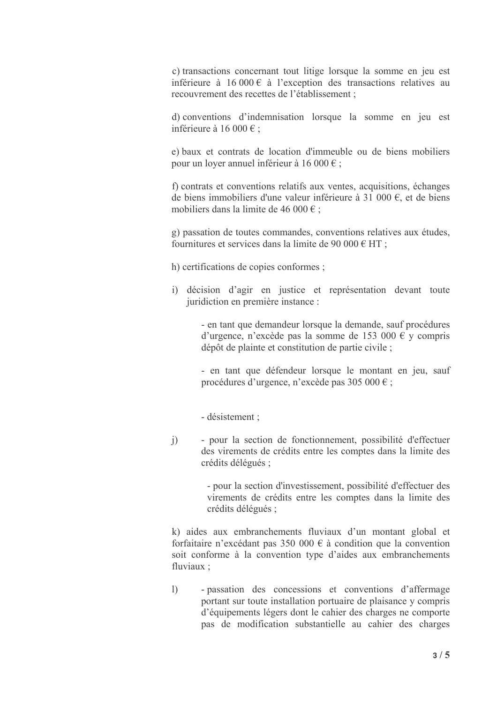c) transactions concernant tout litige lorsque la somme en jeu est inférieure à 16 000  $\epsilon$  à l'exception des transactions relatives au recouvrement des recettes de l'établissement ;

d) conventions d'indemnisation lorsque la somme en jeu est inférieure à 16 000  $\epsilon$ ;

e) baux et contrats de location d'immeuble ou de biens mobiliers pour un loyer annuel inférieur à 16 000  $\epsilon$ ;

f) contrats et conventions relatifs aux ventes, acquisitions, échanges de biens immobiliers d'une valeur inférieure à 31 000 €, et de biens mobiliers dans la limite de 46 000  $\epsilon$ ;

g) passation de toutes commandes, conventions relatives aux études, fournitures et services dans la limite de 90 000 € HT :

h) certifications de copies conformes;

i) décision d'agir en justice et représentation devant toute juridiction en première instance :

> - en tant que demandeur lorsque la demande, sauf procédures d'urgence, n'excède pas la somme de 153 000 € y compris dépôt de plainte et constitution de partie civile ;

> - en tant que défendeur lorsque le montant en jeu, sauf procédures d'urgence, n'excède pas 305 000  $\epsilon$ ;

- désistement :

- pour la section de fonctionnement, possibilité d'effectuer  $\ddot{1}$ des virements de crédits entre les comptes dans la limite des crédits délégués ;

> - pour la section d'investissement, possibilité d'effectuer des virements de crédits entre les comptes dans la limite des crédits délégués ;

k) aides aux embranchements fluviaux d'un montant global et forfaitaire n'excédant pas 350 000  $\epsilon$  à condition que la convention soit conforme à la convention type d'aides aux embranchements fluviaux:

- passation des concessions et conventions d'affermage  $\left| \right\rangle$ portant sur toute installation portuaire de plaisance y compris d'équipements légers dont le cahier des charges ne comporte pas de modification substantielle au cahier des charges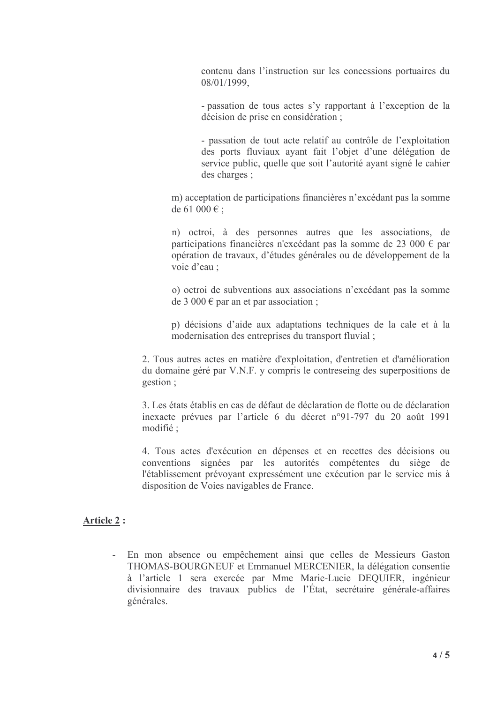contenu dans l'instruction sur les concessions portuaires du  $08/01/1999$ .

- passation de tous actes s'y rapportant à l'exception de la décision de prise en considération ;

- passation de tout acte relatif au contrôle de l'exploitation des ports fluviaux avant fait l'obiet d'une délégation de service public, quelle que soit l'autorité ayant signé le cahier des charges;

m) acceptation de participations financières n'excédant pas la somme de 61 000 € ;

n) octroi, à des personnes autres que les associations, de participations financières n'excédant pas la somme de 23 000 € par opération de travaux, d'études générales ou de développement de la voie d'eau :

o) octroi de subventions aux associations n'excédant pas la somme de 3 000  $\epsilon$  par an et par association ;

p) décisions d'aide aux adaptations techniques de la cale et à la modernisation des entreprises du transport fluvial;

2. Tous autres actes en matière d'exploitation, d'entretien et d'amélioration du domaine géré par V.N.F. y compris le contreseing des superpositions de gestion:

3. Les états établis en cas de défaut de déclaration de flotte ou de déclaration inexacte prévues par l'article 6 du décret n°91-797 du 20 août 1991 modifié :

4. Tous actes d'exécution en dépenses et en recettes des décisions ou conventions signées par les autorités compétentes du siège de l'établissement prévoyant expressément une exécution par le service mis à disposition de Voies navigables de France.

#### **Article 2:**

- En mon absence ou empêchement ainsi que celles de Messieurs Gaston THOMAS-BOURGNEUF et Emmanuel MERCENIER, la délégation consentie à l'article 1 sera exercée par Mme Marie-Lucie DEQUIER, ingénieur divisionnaire des travaux publics de l'État, secrétaire générale-affaires générales.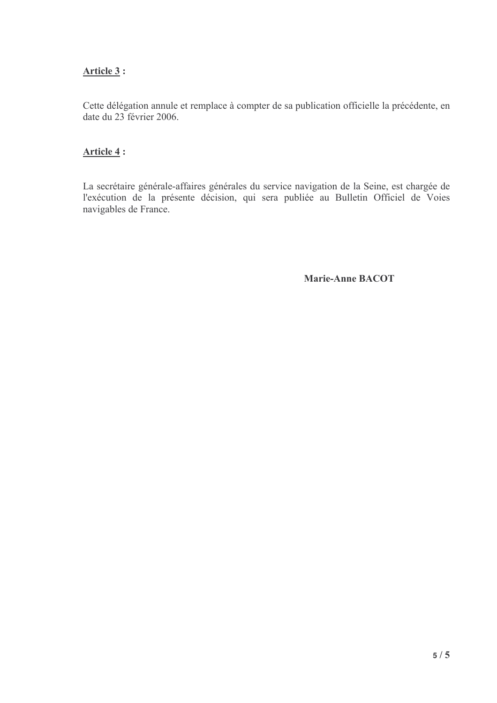# Article 3:

Cette délégation annule et remplace à compter de sa publication officielle la précédente, en date du 23 février 2006.

# Article 4:

La secrétaire générale-affaires générales du service navigation de la Seine, est chargée de l'exécution de la présente décision, qui sera publiée au Bulletin Officiel de Voies navigables de France.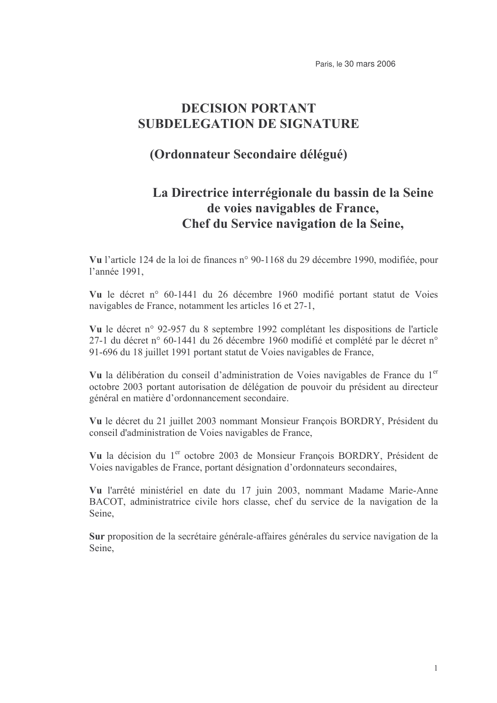# **DECISION PORTANT SUBDELEGATION DE SIGNATURE**

# (Ordonnateur Secondaire délégué)

# La Directrice interrégionale du bassin de la Seine de voies navigables de France, Chef du Service navigation de la Seine,

Vu l'article 124 de la loi de finances n° 90-1168 du 29 décembre 1990, modifiée, pour l'année 1991.

Vu le décret n° 60-1441 du 26 décembre 1960 modifié portant statut de Voies navigables de France, notamment les articles 16 et 27-1,

Vu le décret n° 92-957 du 8 septembre 1992 complétant les dispositions de l'article 27-1 du décret n° 60-1441 du 26 décembre 1960 modifié et complété par le décret n° 91-696 du 18 juillet 1991 portant statut de Voies navigables de France,

Vu la délibération du conseil d'administration de Voies navigables de France du 1<sup>er</sup> octobre 2003 portant autorisation de délégation de pouvoir du président au directeur général en matière d'ordonnancement secondaire.

Vu le décret du 21 juillet 2003 nommant Monsieur Francois BORDRY, Président du conseil d'administration de Voies navigables de France,

Vu la décision du 1<sup>er</sup> octobre 2003 de Monsieur François BORDRY, Président de Voies navigables de France, portant désignation d'ordonnateurs secondaires,

Vu l'arrêté ministériel en date du 17 juin 2003, nommant Madame Marie-Anne BACOT, administratrice civile hors classe, chef du service de la navigation de la Seine.

Sur proposition de la secrétaire générale-affaires générales du service navigation de la Seine.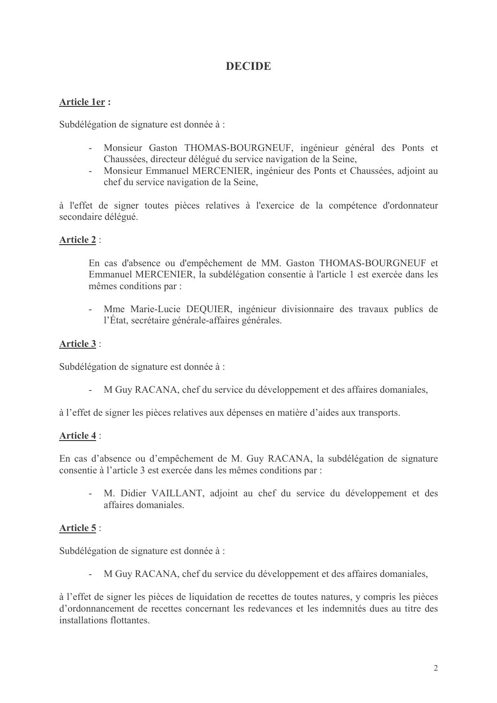# **DECIDE**

# Article 1er:

Subdélégation de signature est donnée à :

- Monsieur Gaston THOMAS-BOURGNEUF, ingénieur général des Ponts et Chaussées, directeur délégué du service navigation de la Seine,
- Monsieur Emmanuel MERCENIER, ingénieur des Ponts et Chaussées, adjoint au chef du service navigation de la Seine.

à l'effet de signer toutes pièces relatives à l'exercice de la compétence d'ordonnateur secondaire délégué.

# Article 2:

En cas d'absence ou d'empêchement de MM. Gaston THOMAS-BOURGNEUF et Emmanuel MERCENIER, la subdélégation consentie à l'article 1 est exercée dans les mêmes conditions par :

Mme Marie-Lucie DEQUIER, ingénieur divisionnaire des travaux publics de l'État, secrétaire générale-affaires générales.

# **Article 3:**

Subdélégation de signature est donnée à :

- M Guy RACANA, chef du service du développement et des affaires domaniales,

à l'effet de signer les pièces relatives aux dépenses en matière d'aides aux transports.

### Article 4:

En cas d'absence ou d'empêchement de M. Guy RACANA, la subdélégation de signature consentie à l'article 3 est exercée dans les mêmes conditions par :

- M. Didier VAILLANT, adjoint au chef du service du développement et des affaires domaniales

### Article 5:

Subdélégation de signature est donnée à :

- M Guy RACANA, chef du service du développement et des affaires domaniales,

à l'effet de signer les pièces de liquidation de recettes de toutes natures, y compris les pièces d'ordonnancement de recettes concernant les redevances et les indemnités dues au titre des installations flottantes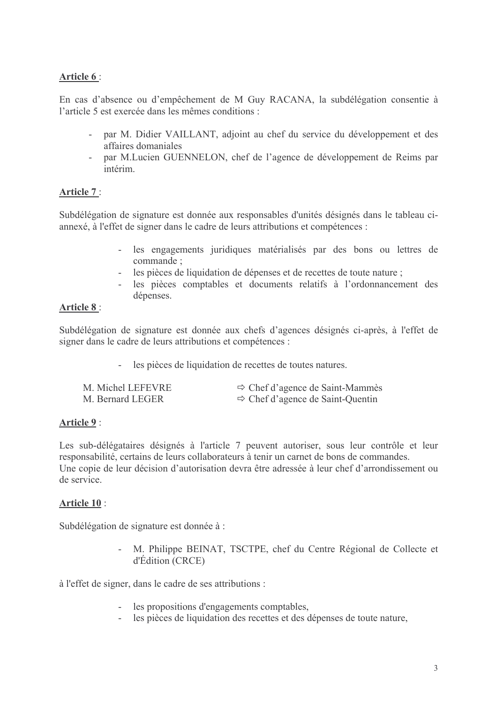# Article 6:

En cas d'absence ou d'empêchement de M Guy RACANA, la subdélégation consentie à l'article 5 est exercée dans les mêmes conditions :

- par M. Didier VAILLANT, adjoint au chef du service du développement et des affaires domaniales
- par M.Lucien GUENNELON, chef de l'agence de développement de Reims par intérim

# Article 7:

Subdélégation de signature est donnée aux responsables d'unités désignés dans le tableau ciannexé, à l'effet de signer dans le cadre de leurs attributions et compétences :

- les engagements juridiques matérialisés par des bons ou lettres de commande:
- les pièces de liquidation de dépenses et de recettes de toute nature ;
- les pièces comptables et documents relatifs à l'ordonnancement des dépenses.

# **Article 8:**

Subdélégation de signature est donnée aux chefs d'agences désignés ci-après, à l'effet de signer dans le cadre de leurs attributions et compétences :

les pièces de liquidation de recettes de toutes natures.

| M. Michel LEFEVRE | $\Rightarrow$ Chef d'agence de Saint-Mammès  |
|-------------------|----------------------------------------------|
| M. Bernard LEGER  | $\Rightarrow$ Chef d'agence de Saint-Quentin |

# Article 9:

Les sub-délégataires désignés à l'article 7 peuvent autoriser, sous leur contrôle et leur responsabilité, certains de leurs collaborateurs à tenir un carnet de bons de commandes. Une copie de leur décision d'autorisation devra être adressée à leur chef d'arrondissement ou de service.

### Article 10:

Subdélégation de signature est donnée à :

M. Philippe BEINAT, TSCTPE, chef du Centre Régional de Collecte et d'Édition (CRCE)

à l'effet de signer, dans le cadre de ses attributions :

- les propositions d'engagements comptables,
- les pièces de liquidation des recettes et des dépenses de toute nature,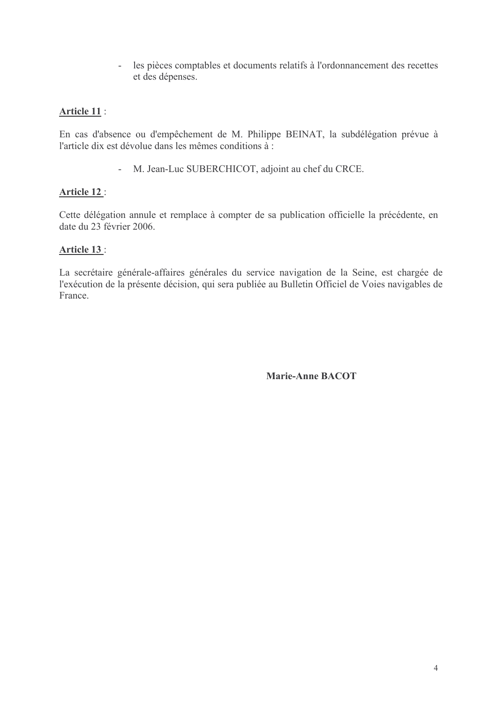les pièces comptables et documents relatifs à l'ordonnancement des recettes  $\omega_{\rm{eff}}$ et des dépenses.

# **Article 11:**

En cas d'absence ou d'empêchement de M. Philippe BEINAT, la subdélégation prévue à l'article dix est dévolue dans les mêmes conditions  $\hat{a}$ :

- M. Jean-Luc SUBERCHICOT, adjoint au chef du CRCE.

# Article 12:

Cette délégation annule et remplace à compter de sa publication officielle la précédente, en date du 23 février 2006.

# Article 13:

La secrétaire générale-affaires générales du service navigation de la Seine, est chargée de l'exécution de la présente décision, qui sera publiée au Bulletin Officiel de Voies navigables de France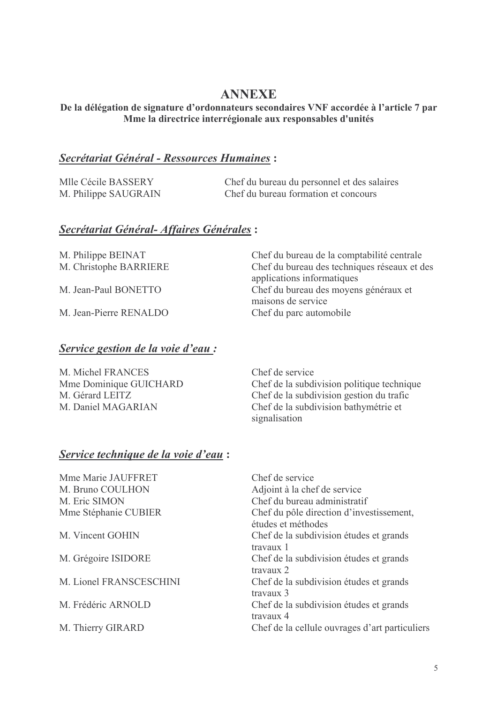# **ANNEXE**

### De la délégation de signature d'ordonnateurs secondaires VNF accordée à l'article 7 par Mme la directrice interrégionale aux responsables d'unités

# **Secrétariat Général - Ressources Humaines:**

| Mlle Cécile BASSERY  | Chef du bureau du personnel et des salaires |
|----------------------|---------------------------------------------|
| M. Philippe SAUGRAIN | Chef du bureau formation et concours        |

# Secrétariat Général-Affaires Générales :

M. Philippe BEINAT M. Christophe BARRIERE

M Jean-Paul BONETTO

M Jean-Pierre RENALDO

# Service gestion de la voie d'eau :

| M. Michel FRANCES      | Chef de service                            |
|------------------------|--------------------------------------------|
| Mme Dominique GUICHARD | Chef de la subdivision politique technique |
| M. Gérard LEITZ        | Chef de la subdivision gestion du trafic   |
| M. Daniel MAGARIAN     | Chef de la subdivision bathymétrie et      |
|                        | signalisation                              |

### Service technique de la voie d'eau :

Mme Marie JAUFFRET M. Bruno COULHON M. Eric SIMON Mme Stéphanie CUBIER

M. Vincent GOHIN

M. Grégoire ISIDORE

M Lionel FRANSCESCHINI

M. Frédéric ARNOLD

M. Thierry GIRARD

Chef de service Adjoint à la chef de service Chef du bureau administratif Chef du pôle direction d'investissement, études et méthodes Chef de la subdivision études et grands travaux 1 Chef de la subdivision études et grands travaux 2 Chef de la subdivision études et grands  $travaux<sub>3</sub>$ Chef de la subdivision études et grands travaux 4 Chef de la cellule ouvrages d'art particuliers

Chef du bureau de la comptabilité centrale

Chef du bureau des moyens généraux et

applications informatiques

Chef du parc automobile

maisons de service

Chef du bureau des techniques réseaux et des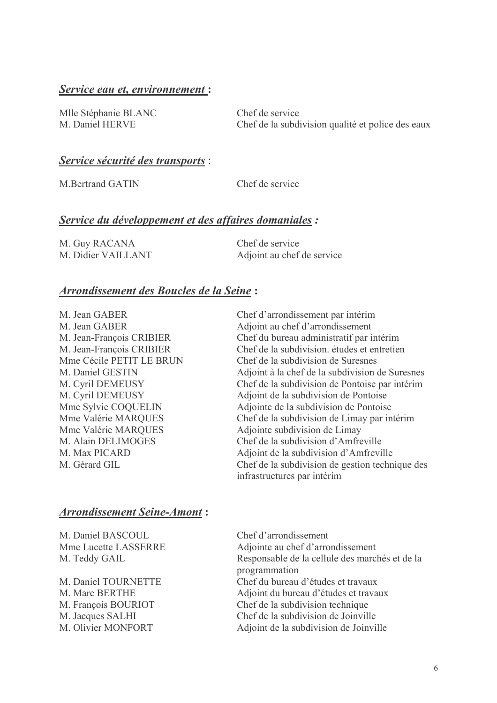# <u>Service eau et, environnement :</u>

Mlle Stéphanie BLANC Chef M. Daniel HERVE Chef

f de service f de la subdivision qualité et police des eaux

# <u>Service sécurité des transports</u> :

M. Bertrand GATIN Chef

f de service

### <u>Service du développement et des affaires domaniales</u>:

| M. Guy RACANA      | Chef de service            |
|--------------------|----------------------------|
| M. Didier VAILLANT | Adjoint au chef de service |

### <u> Arrondissement des Boucles de la Seine</u> :

M. Jean GABER Chef M Jean GABER M. Jean-François CRIBIER Chef M. Jean-François CRIBIER Chef Mme Cécile PETIT LE BRUN Chef M. Daniel GESTIN M. Cyril DEMEUSY M. Cyril DEMEUSY Mme Sylvie COQUELIN Adjointe Mme Valérie MARQUES Chef Mme Valérie MARQUES Adjointe M Alain DELIMOGES M Max PICARD M Gérard GIL

f d'arrondissement par intérim an GABER Adjoint au chef d'arrondissement f du bureau administratif par intérim f de la subdivision. études et entretien f de la subdivision de Suresnes 1 GESTIN Adjoint à la chef de la subdivision de Suresnes f de la subdivision de Pontoise par intérim la subdivision de Pontoise de la subdivision de Pontoise f de la subdivision de Limay par intérim subdivision de Limay f de la subdivision d'Amfreville la subdivision d'Amfreville f de la subdivision de gestion technique des infrastructures par intérim

### <u> Arrondissement Seine-Amont</u> :

M. Daniel BASCOUL Chef Mme Lucette LASSERRE Adjointe M. Teddy GAIL Res

M. Daniel TOURNETTE M Marc BERTHE M. François BOURIOT M. Jacques SALHI Chef M. Olivier MONFORT Adjoint de

f d'arrondissement au chef d'arrondissement sponsable de la cellule des marchés et de la programmation Chef du bureau d'études et travaux Adjoint du bureau d'études et travaux f de la subdivision technique f de la subdivision de Joinville la subdivision de Joinville